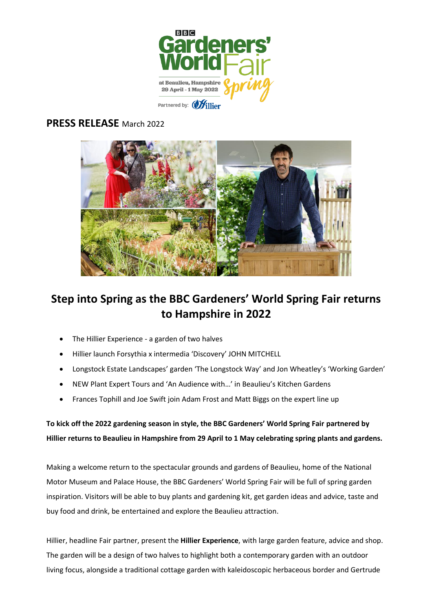

## **PRESS RELEASE** March 2022



## **Step into Spring as the BBC Gardeners' World Spring Fair returns to Hampshire in 2022**

- The Hillier Experience a garden of two halves
- Hillier launch Forsythia x intermedia 'Discovery' JOHN MITCHELL
- Longstock Estate Landscapes' garden 'The Longstock Way' and Jon Wheatley's 'Working Garden'
- NEW Plant Expert Tours and 'An Audience with…' in Beaulieu's Kitchen Gardens
- Frances Tophill and Joe Swift join Adam Frost and Matt Biggs on the expert line up

**To kick off the 2022 gardening season in style, the BBC Gardeners' World Spring Fair partnered by Hillier returns to Beaulieu in Hampshire from 29 April to 1 May celebrating spring plants and gardens.**

Making a welcome return to the spectacular grounds and gardens of Beaulieu, home of the National Motor Museum and Palace House, the BBC Gardeners' World Spring Fair will be full of spring garden inspiration. Visitors will be able to buy plants and gardening kit, get garden ideas and advice, taste and buy food and drink, be entertained and explore the Beaulieu attraction.

Hillier, headline Fair partner, present the **Hillier Experience**, with large garden feature, advice and shop. The garden will be a design of two halves to highlight both a contemporary garden with an outdoor living focus, alongside a traditional cottage garden with kaleidoscopic herbaceous border and Gertrude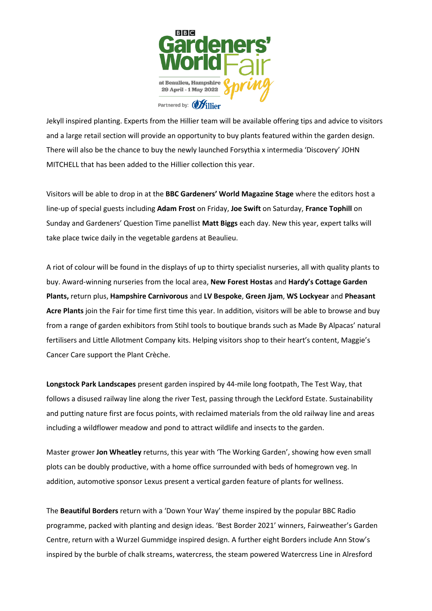

Jekyll inspired planting. Experts from the Hillier team will be available offering tips and advice to visitors and a large retail section will provide an opportunity to buy plants featured within the garden design. There will also be the chance to buy the newly launched Forsythia x intermedia 'Discovery' JOHN MITCHELL that has been added to the Hillier collection this year.

Visitors will be able to drop in at the **BBC Gardeners' World Magazine Stage** where the editors host a line-up of special guests including **Adam Frost** on Friday, **Joe Swift** on Saturday, **France Tophill** on Sunday and Gardeners' Question Time panellist **Matt Biggs** each day. New this year, expert talks will take place twice daily in the vegetable gardens at Beaulieu.

A riot of colour will be found in the displays of up to thirty specialist nurseries, all with quality plants to buy. Award-winning nurseries from the local area, **New Forest Hostas** and **Hardy's Cottage Garden Plants,** return plus, **Hampshire Carnivorous** and **LV Bespoke**, **Green Jjam**, **WS Lockyear** and **Pheasant Acre Plants** join the Fair for time first time this year. In addition, visitors will be able to browse and buy from a range of garden exhibitors from Stihl tools to boutique brands such as Made By Alpacas' natural fertilisers and Little Allotment Company kits. Helping visitors shop to their heart's content, Maggie's Cancer Care support the Plant Crèche.

**Longstock Park Landscapes** present garden inspired by 44-mile long footpath, The Test Way, that follows a disused railway line along the river Test, passing through the Leckford Estate. Sustainability and putting nature first are focus points, with reclaimed materials from the old railway line and areas including a wildflower meadow and pond to attract wildlife and insects to the garden.

Master grower **Jon Wheatley** returns, this year with 'The Working Garden', showing how even small plots can be doubly productive, with a home office surrounded with beds of homegrown veg. In addition, automotive sponsor Lexus present a vertical garden feature of plants for wellness.

The **Beautiful Borders** return with a 'Down Your Way' theme inspired by the popular BBC Radio programme, packed with planting and design ideas. 'Best Border 2021' winners, Fairweather's Garden Centre, return with a Wurzel Gummidge inspired design. A further eight Borders include Ann Stow's inspired by the burble of chalk streams, watercress, the steam powered Watercress Line in Alresford